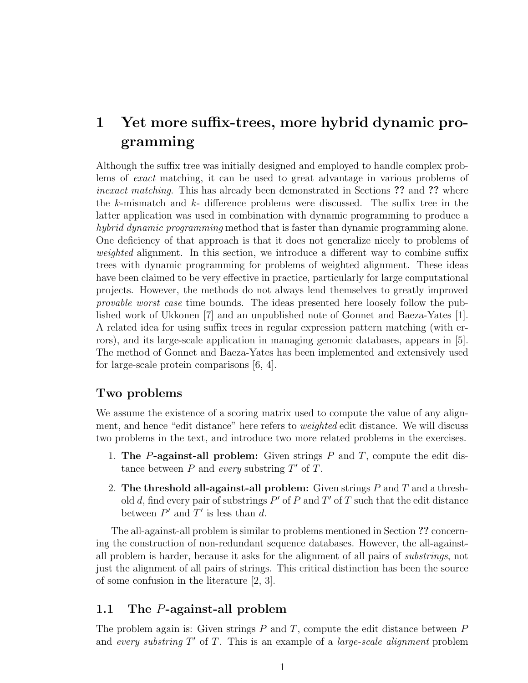# 1 Yet more suffix-trees, more hybrid dynamic programming

Although the suffix tree was initially designed and employed to handle complex problems of exact matching, it can be used to great advantage in various problems of inexact matching. This has already been demonstrated in Sections ?? and ?? where the k-mismatch and k- difference problems were discussed. The suffix tree in the latter application was used in combination with dynamic programming to produce a hybrid dynamic programming method that is faster than dynamic programming alone. One deficiency of that approach is that it does not generalize nicely to problems of weighted alignment. In this section, we introduce a different way to combine suffix trees with dynamic programming for problems of weighted alignment. These ideas have been claimed to be very effective in practice, particularly for large computational projects. However, the methods do not always lend themselves to greatly improved provable worst case time bounds. The ideas presented here loosely follow the published work of Ukkonen [7] and an unpublished note of Gonnet and Baeza-Yates [1]. A related idea for using suffix trees in regular expression pattern matching (with errors), and its large-scale application in managing genomic databases, appears in [5]. The method of Gonnet and Baeza-Yates has been implemented and extensively used for large-scale protein comparisons [6, 4].

### Two problems

We assume the existence of a scoring matrix used to compute the value of any alignment, and hence "edit distance" here refers to weighted edit distance. We will discuss two problems in the text, and introduce two more related problems in the exercises.

- 1. The P-against-all problem: Given strings  $P$  and  $T$ , compute the edit distance between  $P$  and every substring  $T'$  of  $\overline{T}$ .
- 2. The threshold all-against-all problem: Given strings  $P$  and  $T$  and a threshold d, find every pair of substrings  $P'$  of P and T' of T such that the edit distance between  $P'$  and  $T'$  is less than d.

The all-against-all problem is similar to problems mentioned in Section ?? concerning the construction of non-redundant sequence databases. However, the all-againstall problem is harder, because it asks for the alignment of all pairs of substrings, not just the alignment of all pairs of strings. This critical distinction has been the source of some confusion in the literature [2, 3].

### 1.1 The P-against-all problem

The problem again is: Given strings  $P$  and  $T$ , compute the edit distance between  $P$ and every substring  $T'$  of  $T$ . This is an example of a *large-scale alignment* problem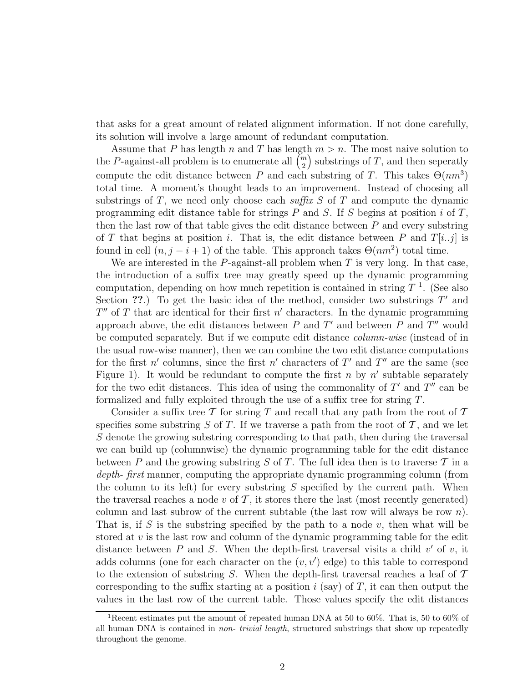that asks for a great amount of related alignment information. If not done carefully, its solution will involve a large amount of redundant computation.

Assume that P has length n and T has length  $m > n$ . The most naive solution to the P-against-all problem is to enumerate all  $\binom{m}{2}$  $\binom{n}{2}$  substrings of T, and then seperatly compute the edit distance between P and each substring of T. This takes  $\Theta(nm^3)$ total time. A moment's thought leads to an improvement. Instead of choosing all substrings of  $T$ , we need only choose each suffix  $S$  of  $T$  and compute the dynamic programming edit distance table for strings  $P$  and  $S$ . If  $S$  begins at position  $i$  of  $T$ , then the last row of that table gives the edit distance between  $P$  and every substring of T that begins at position i. That is, the edit distance between P and  $T[i..j]$  is found in cell  $(n, j - i + 1)$  of the table. This approach takes  $\Theta(nm^2)$  total time.

We are interested in the  $P$ -against-all problem when  $T$  is very long. In that case, the introduction of a suffix tree may greatly speed up the dynamic programming computation, depending on how much repetition is contained in string  $T^{-1}$ . (See also Section ??.) To get the basic idea of the method, consider two substrings  $T'$  and  $T''$  of T that are identical for their first  $n'$  characters. In the dynamic programming approach above, the edit distances between  $P$  and  $T'$  and between  $P$  and  $T''$  would be computed separately. But if we compute edit distance column-wise (instead of in the usual row-wise manner), then we can combine the two edit distance computations for the first n' columns, since the first n' characters of T' and T'' are the same (see Figure 1). It would be redundant to compute the first n by  $n'$  subtable separately for the two edit distances. This idea of using the commonality of  $T'$  and  $T''$  can be formalized and fully exploited through the use of a suffix tree for string T.

Consider a suffix tree  $\mathcal T$  for string  $T$  and recall that any path from the root of  $\mathcal T$ specifies some substring S of T. If we traverse a path from the root of  $\mathcal T$ , and we let S denote the growing substring corresponding to that path, then during the traversal we can build up (columnwise) the dynamic programming table for the edit distance between P and the growing substring S of T. The full idea then is to traverse  $\mathcal T$  in a depth- first manner, computing the appropriate dynamic programming column (from the column to its left) for every substring  $S$  specified by the current path. When the traversal reaches a node v of  $\mathcal T$ , it stores there the last (most recently generated) column and last subrow of the current subtable (the last row will always be row  $n$ ). That is, if S is the substring specified by the path to a node  $v$ , then what will be stored at  $v$  is the last row and column of the dynamic programming table for the edit distance between  $P$  and  $S$ . When the depth-first traversal visits a child  $v'$  of  $v$ , it adds columns (one for each character on the  $(v, v')$  edge) to this table to correspond to the extension of substring S. When the depth-first traversal reaches a leaf of  $\mathcal T$ corresponding to the suffix starting at a position  $i$  (say) of  $T$ , it can then output the values in the last row of the current table. Those values specify the edit distances

<sup>1</sup>Recent estimates put the amount of repeated human DNA at 50 to 60%. That is, 50 to 60% of all human DNA is contained in non- trivial length, structured substrings that show up repeatedly throughout the genome.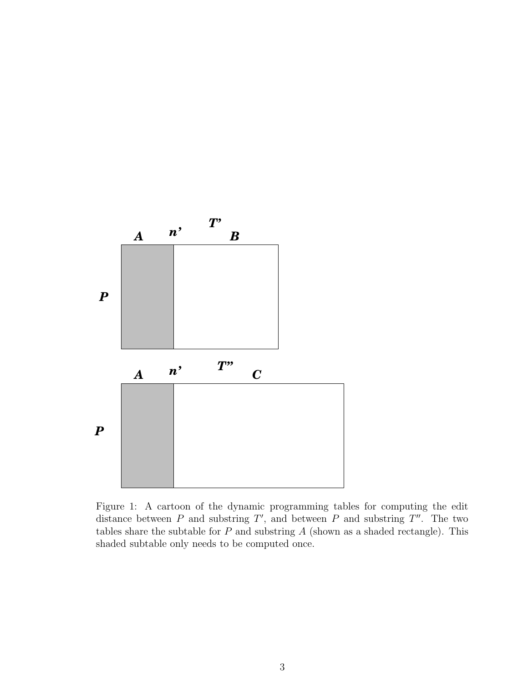

Figure 1: A cartoon of the dynamic programming tables for computing the edit distance between  $P$  and substring  $T'$ , and between  $P$  and substring  $T''$ . The two tables share the subtable for  $P$  and substring  $A$  (shown as a shaded rectangle). This shaded subtable only needs to be computed once.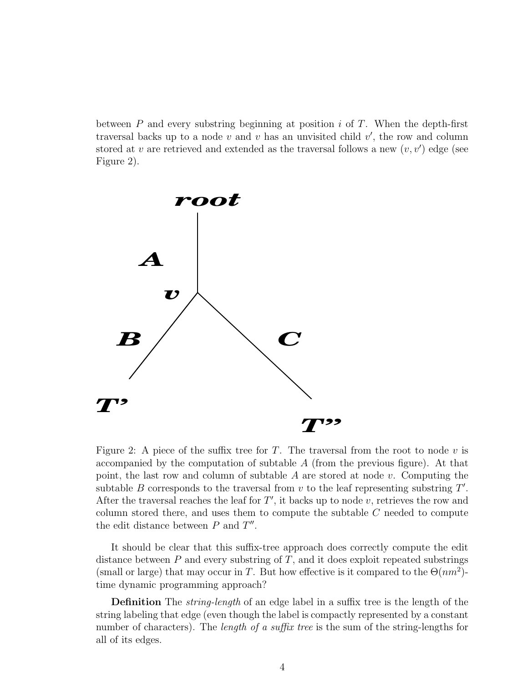between  $P$  and every substring beginning at position i of  $T$ . When the depth-first traversal backs up to a node  $v$  and  $v$  has an unvisited child  $v'$ , the row and column stored at v are retrieved and extended as the traversal follows a new  $(v, v')$  edge (see Figure 2).



Figure 2: A piece of the suffix tree for  $T$ . The traversal from the root to node  $v$  is accompanied by the computation of subtable  $A$  (from the previous figure). At that point, the last row and column of subtable  $A$  are stored at node  $v$ . Computing the subtable  $B$  corresponds to the traversal from  $v$  to the leaf representing substring  $T'$ . After the traversal reaches the leaf for  $T'$ , it backs up to node v, retrieves the row and column stored there, and uses them to compute the subtable C needed to compute the edit distance between  $P$  and  $T''$ .

It should be clear that this suffix-tree approach does correctly compute the edit distance between  $P$  and every substring of  $T$ , and it does exploit repeated substrings (small or large) that may occur in T. But how effective is it compared to the  $\Theta(nm^2)$ time dynamic programming approach?

Definition The string-length of an edge label in a suffix tree is the length of the string labeling that edge (even though the label is compactly represented by a constant number of characters). The *length of a suffix tree* is the sum of the string-lengths for all of its edges.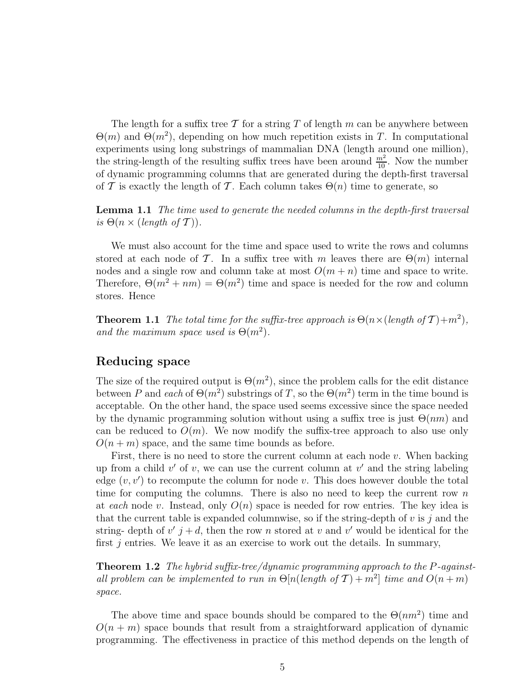The length for a suffix tree T for a string T of length m can be anywhere between  $\Theta(m)$  and  $\Theta(m^2)$ , depending on how much repetition exists in T. In computational experiments using long substrings of mammalian DNA (length around one million), the string-length of the resulting suffix trees have been around  $\frac{m^2}{10}$ . Now the number of dynamic programming columns that are generated during the depth-first traversal of T is exactly the length of T. Each column takes  $\Theta(n)$  time to generate, so

**Lemma 1.1** The time used to generate the needed columns in the depth-first traversal is  $\Theta(n \times (length \ of \ \mathcal{T})).$ 

We must also account for the time and space used to write the rows and columns stored at each node of T. In a suffix tree with m leaves there are  $\Theta(m)$  internal nodes and a single row and column take at most  $O(m + n)$  time and space to write. Therefore,  $\Theta(m^2 + nm) = \Theta(m^2)$  time and space is needed for the row and column stores. Hence

**Theorem 1.1** The total time for the suffix-tree approach is  $\Theta(n \times (length \ of \ T) + m^2)$ , and the maximum space used is  $\Theta(m^2)$ .

### Reducing space

The size of the required output is  $\Theta(m^2)$ , since the problem calls for the edit distance between P and each of  $\Theta(m^2)$  substrings of T, so the  $\Theta(m^2)$  term in the time bound is acceptable. On the other hand, the space used seems excessive since the space needed by the dynamic programming solution without using a suffix tree is just  $\Theta(nm)$  and can be reduced to  $O(m)$ . We now modify the suffix-tree approach to also use only  $O(n+m)$  space, and the same time bounds as before.

First, there is no need to store the current column at each node  $v$ . When backing up from a child  $v'$  of  $v$ , we can use the current column at  $v'$  and the string labeling edge  $(v, v')$  to recompute the column for node v. This does however double the total time for computing the columns. There is also no need to keep the current row  $n$ at each node v. Instead, only  $O(n)$  space is needed for row entries. The key idea is that the current table is expanded columnwise, so if the string-depth of  $v$  is  $j$  and the string- depth of  $v'$   $j + d$ , then the row n stored at v and v' would be identical for the first  $j$  entries. We leave it as an exercise to work out the details. In summary,

**Theorem 1.2** The hybrid suffix-tree/dynamic programming approach to the P-againstall problem can be implemented to run in  $\Theta[n(\text{length of } T) + m^2]$  time and  $O(n + m)$ space.

The above time and space bounds should be compared to the  $\Theta(nm^2)$  time and  $O(n+m)$  space bounds that result from a straightforward application of dynamic programming. The effectiveness in practice of this method depends on the length of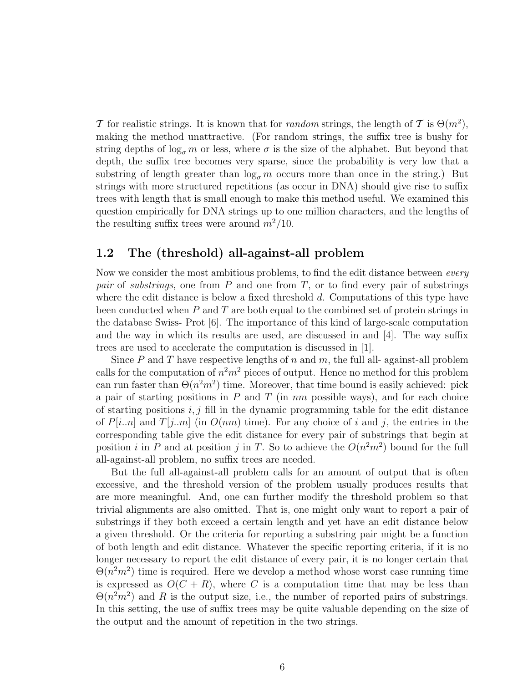T for realistic strings. It is known that for *random* strings, the length of T is  $\Theta(m^2)$ , making the method unattractive. (For random strings, the suffix tree is bushy for string depths of  $\log_{\sigma} m$  or less, where  $\sigma$  is the size of the alphabet. But beyond that depth, the suffix tree becomes very sparse, since the probability is very low that a substring of length greater than  $\log_{\sigma} m$  occurs more than once in the string.) But strings with more structured repetitions (as occur in DNA) should give rise to suffix trees with length that is small enough to make this method useful. We examined this question empirically for DNA strings up to one million characters, and the lengths of the resulting suffix trees were around  $m^2/10$ .

### 1.2 The (threshold) all-against-all problem

Now we consider the most ambitious problems, to find the edit distance between every pair of substrings, one from  $P$  and one from  $T$ , or to find every pair of substrings where the edit distance is below a fixed threshold d. Computations of this type have been conducted when  $P$  and  $T$  are both equal to the combined set of protein strings in the database Swiss- Prot [6]. The importance of this kind of large-scale computation and the way in which its results are used, are discussed in and  $|4|$ . The way suffix trees are used to accelerate the computation is discussed in [1].

Since  $P$  and  $T$  have respective lengths of  $n$  and  $m$ , the full all-against-all problem calls for the computation of  $n^2m^2$  pieces of output. Hence no method for this problem can run faster than  $\Theta(n^2m^2)$  time. Moreover, that time bound is easily achieved: pick a pair of starting positions in  $P$  and  $T$  (in  $nm$  possible ways), and for each choice of starting positions  $i, j$  fill in the dynamic programming table for the edit distance of  $P[i..n]$  and  $T[j..m]$  (in  $O(nm)$  time). For any choice of i and j, the entries in the corresponding table give the edit distance for every pair of substrings that begin at position i in P and at position j in T. So to achieve the  $O(n^2m^2)$  bound for the full all-against-all problem, no suffix trees are needed.

But the full all-against-all problem calls for an amount of output that is often excessive, and the threshold version of the problem usually produces results that are more meaningful. And, one can further modify the threshold problem so that trivial alignments are also omitted. That is, one might only want to report a pair of substrings if they both exceed a certain length and yet have an edit distance below a given threshold. Or the criteria for reporting a substring pair might be a function of both length and edit distance. Whatever the specific reporting criteria, if it is no longer necessary to report the edit distance of every pair, it is no longer certain that  $\Theta(n^2m^2)$  time is required. Here we develop a method whose worst case running time is expressed as  $O(C + R)$ , where C is a computation time that may be less than  $\Theta(n^2m^2)$  and R is the output size, i.e., the number of reported pairs of substrings. In this setting, the use of suffix trees may be quite valuable depending on the size of the output and the amount of repetition in the two strings.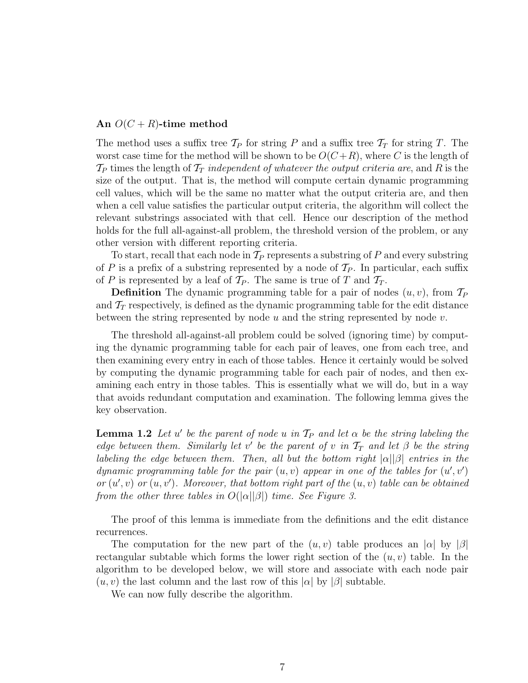#### An  $O(C + R)$ -time method

The method uses a suffix tree  $\mathcal{T}_P$  for string P and a suffix tree  $\mathcal{T}_T$  for string T. The worst case time for the method will be shown to be  $O(C+R)$ , where C is the length of  $\mathcal{T}_P$  times the length of  $\mathcal{T}_T$  independent of whatever the output criteria are, and R is the size of the output. That is, the method will compute certain dynamic programming cell values, which will be the same no matter what the output criteria are, and then when a cell value satisfies the particular output criteria, the algorithm will collect the relevant substrings associated with that cell. Hence our description of the method holds for the full all-against-all problem, the threshold version of the problem, or any other version with different reporting criteria.

To start, recall that each node in  $\mathcal{T}_P$  represents a substring of P and every substring of P is a prefix of a substring represented by a node of  $\mathcal{T}_P$ . In particular, each suffix of P is represented by a leaf of  $\mathcal{T}_P$ . The same is true of T and  $\mathcal{T}_T$ .

**Definition** The dynamic programming table for a pair of nodes  $(u, v)$ , from  $\mathcal{T}_P$ and  $\mathcal{T}_T$  respectively, is defined as the dynamic programming table for the edit distance between the string represented by node u and the string represented by node  $v$ .

The threshold all-against-all problem could be solved (ignoring time) by computing the dynamic programming table for each pair of leaves, one from each tree, and then examining every entry in each of those tables. Hence it certainly would be solved by computing the dynamic programming table for each pair of nodes, and then examining each entry in those tables. This is essentially what we will do, but in a way that avoids redundant computation and examination. The following lemma gives the key observation.

**Lemma 1.2** Let u' be the parent of node u in  $\mathcal{T}_P$  and let  $\alpha$  be the string labeling the edge between them. Similarly let v' be the parent of v in  $T_T$  and let  $\beta$  be the string labeling the edge between them. Then, all but the bottom right  $|\alpha||\beta|$  entries in the dynamic programming table for the pair  $(u, v)$  appear in one of the tables for  $(u', v')$ or  $(u', v)$  or  $(u, v')$ . Moreover, that bottom right part of the  $(u, v)$  table can be obtained from the other three tables in  $O(|\alpha||\beta|)$  time. See Figure 3.

The proof of this lemma is immediate from the definitions and the edit distance recurrences.

The computation for the new part of the  $(u, v)$  table produces an  $|\alpha|$  by  $|\beta|$ rectangular subtable which forms the lower right section of the  $(u, v)$  table. In the algorithm to be developed below, we will store and associate with each node pair  $(u, v)$  the last column and the last row of this  $|\alpha|$  by  $|\beta|$  subtable.

We can now fully describe the algorithm.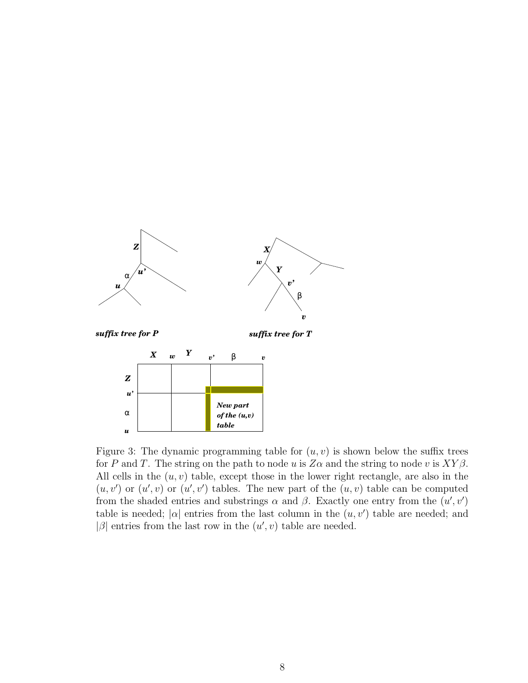

Figure 3: The dynamic programming table for  $(u, v)$  is shown below the suffix trees for P and T. The string on the path to node u is  $Z\alpha$  and the string to node v is  $XY\beta$ . All cells in the  $(u, v)$  table, except those in the lower right rectangle, are also in the  $(u, v')$  or  $(u', v)$  or  $(u', v')$  tables. The new part of the  $(u, v)$  table can be computed from the shaded entries and substrings  $\alpha$  and  $\beta$ . Exactly one entry from the  $(u', v')$ table is needed;  $|\alpha|$  entries from the last column in the  $(u, v')$  table are needed; and  $|\beta|$  entries from the last row in the  $(u', v)$  table are needed.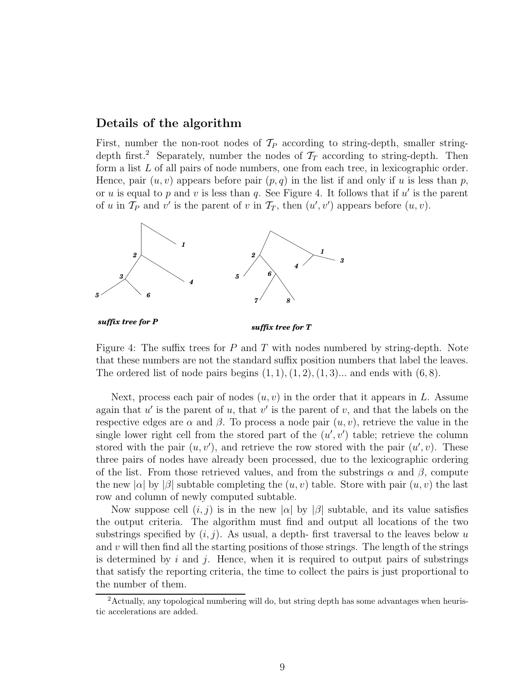### Details of the algorithm

First, number the non-root nodes of  $\mathcal{T}_P$  according to string-depth, smaller stringdepth first.<sup>2</sup> Separately, number the nodes of  $\mathcal{T}_T$  according to string-depth. Then form a list L of all pairs of node numbers, one from each tree, in lexicographic order. Hence, pair  $(u, v)$  appears before pair  $(p, q)$  in the list if and only if u is less than p, or u is equal to p and v is less than q. See Figure 4. It follows that if u' is the parent of u in  $\mathcal{T}_P$  and v' is the parent of v in  $\mathcal{T}_T$ , then  $(u', v')$  appears before  $(u, v)$ .



Figure 4: The suffix trees for P and T with nodes numbered by string-depth. Note that these numbers are not the standard suffix position numbers that label the leaves. The ordered list of node pairs begins  $(1, 1), (1, 2), (1, 3)$ ... and ends with  $(6, 8)$ .

Next, process each pair of nodes  $(u, v)$  in the order that it appears in L. Assume again that  $u'$  is the parent of u, that  $v'$  is the parent of v, and that the labels on the respective edges are  $\alpha$  and  $\beta$ . To process a node pair  $(u, v)$ , retrieve the value in the single lower right cell from the stored part of the  $(u', v')$  table; retrieve the column stored with the pair  $(u, v')$ , and retrieve the row stored with the pair  $(u', v)$ . These three pairs of nodes have already been processed, due to the lexicographic ordering of the list. From those retrieved values, and from the substrings  $\alpha$  and  $\beta$ , compute the new  $|\alpha|$  by  $|\beta|$  subtable completing the  $(u, v)$  table. Store with pair  $(u, v)$  the last row and column of newly computed subtable.

Now suppose cell  $(i, j)$  is in the new  $|\alpha|$  by  $|\beta|$  subtable, and its value satisfies the output criteria. The algorithm must find and output all locations of the two substrings specified by  $(i, j)$ . As usual, a depth-first traversal to the leaves below u and  $v$  will then find all the starting positions of those strings. The length of the strings is determined by i and j. Hence, when it is required to output pairs of substrings that satisfy the reporting criteria, the time to collect the pairs is just proportional to the number of them.

<sup>&</sup>lt;sup>2</sup>Actually, any topological numbering will do, but string depth has some advantages when heuristic accelerations are added.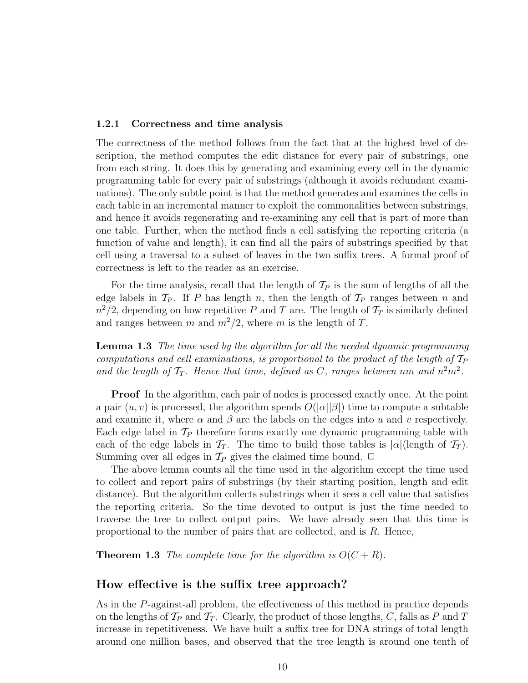#### 1.2.1 Correctness and time analysis

The correctness of the method follows from the fact that at the highest level of description, the method computes the edit distance for every pair of substrings, one from each string. It does this by generating and examining every cell in the dynamic programming table for every pair of substrings (although it avoids redundant examinations). The only subtle point is that the method generates and examines the cells in each table in an incremental manner to exploit the commonalities between substrings, and hence it avoids regenerating and re-examining any cell that is part of more than one table. Further, when the method finds a cell satisfying the reporting criteria (a function of value and length), it can find all the pairs of substrings specified by that cell using a traversal to a subset of leaves in the two suffix trees. A formal proof of correctness is left to the reader as an exercise.

For the time analysis, recall that the length of  $\mathcal{T}_P$  is the sum of lengths of all the edge labels in  $\mathcal{T}_P$ . If P has length n, then the length of  $\mathcal{T}_P$  ranges between n and  $n^2/2$ , depending on how repetitive P and T are. The length of  $\mathcal{T}_T$  is similarly defined and ranges between m and  $m^2/2$ , where m is the length of T.

Lemma 1.3 The time used by the algorithm for all the needed dynamic programming computations and cell examinations, is proportional to the product of the length of  $\mathcal{T}_P$ and the length of  $T_T$ . Hence that time, defined as C, ranges between nm and  $n^2m^2$ .

Proof In the algorithm, each pair of nodes is processed exactly once. At the point a pair  $(u, v)$  is processed, the algorithm spends  $O(|\alpha||\beta|)$  time to compute a subtable and examine it, where  $\alpha$  and  $\beta$  are the labels on the edges into u and v respectively. Each edge label in  $\mathcal{T}_P$  therefore forms exactly one dynamic programming table with each of the edge labels in  $\mathcal{T}_T$ . The time to build those tables is  $|\alpha|$  (length of  $\mathcal{T}_T$ ). Summing over all edges in  $\mathcal{T}_P$  gives the claimed time bound.  $\Box$ 

The above lemma counts all the time used in the algorithm except the time used to collect and report pairs of substrings (by their starting position, length and edit distance). But the algorithm collects substrings when it sees a cell value that satisfies the reporting criteria. So the time devoted to output is just the time needed to traverse the tree to collect output pairs. We have already seen that this time is proportional to the number of pairs that are collected, and is  $R$ . Hence,

**Theorem 1.3** The complete time for the algorithm is  $O(C + R)$ .

### How effective is the suffix tree approach?

As in the P-against-all problem, the effectiveness of this method in practice depends on the lengths of  $\mathcal{T}_P$  and  $\mathcal{T}_T$ . Clearly, the product of those lengths, C, falls as P and T increase in repetitiveness. We have built a suffix tree for DNA strings of total length around one million bases, and observed that the tree length is around one tenth of